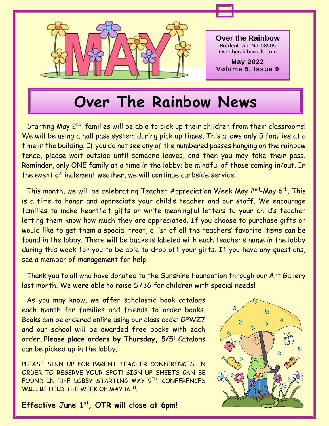

## **Over The Rainbow News**

Starting May 2<sup>nd,</sup> families will be able to pick up their children from their classrooms! We will be using a hall pass system during pick up times. This allows only 5 families at a time in the building. If you do not see any of the numbered passes hanging on the rainbow fence, please wait outside until someone leaves, and then you may take their pass. Reminder, only ONE family at a time in the lobby; be mindful of those coming in/out. In the event of inclement weather, we will continue curbside service.

This month, we will be celebrating Teacher Appreciation Week May 2<sup>nd</sup>-May 6<sup>th</sup>. This is a time to honor and appreciate your child's teacher and our staff. We encourage families to make heartfelt gifts or write meaningful letters to your child's teacher letting them know how much they are appreciated. If you choose to purchase gifts or would like to get them a special treat, a list of all the teachers' favorite items can be found in the lobby. There will be buckets labeled with each teacher's name in the lobby during this week for you to be able to drop off your gifts. If you have any questions, see a member of management for help.

Thank you to all who have donated to the Sunshine Foundation through our Art Gallery last month. We were able to raise \$736 for children with special needs!

As you may know, we offer scholastic book catalogs each month for families and friends to order books. Books can be ordered online using our class code: GPWZ7 and our school will be awarded free books with each order. **Please place orders by Thursday, 5/5!** Catalogs can be picked up in the lobby.

PLEASE SIGN UP FOR PARENT TEACHER CONFERENCES IN ORDER TO RESERVE YOUR SPOT! SIGN UP SHEETS CAN BE FOUND IN THE LOBBY STARTING MAY 9TH . CONFERENCES WILL BE HELD THE WEEK OF MAY 16TH.

**Effective June 1st, OTR will close at 6pm!**

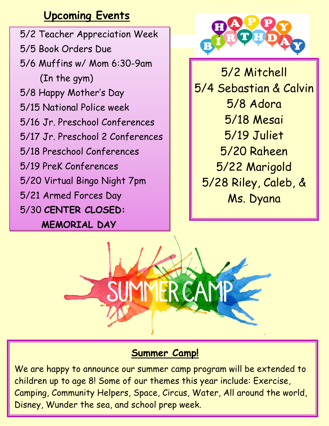## **Upcoming Events**

5/2 Teacher Appreciation Week 5/5 Book Orders Due 5/6 Muffins w/ Mom 6:30-9am (In the gym) 5/8 Happy Mother's Day 5/15 National Police week 5/16 Jr. Preschool Conferences 5/17 Jr. Preschool 2 Conferences 5/18 Preschool Conferences 5/19 PreK Conferences 5/20 Virtual Bingo Night 7pm 5/21 Armed Forces Day 5/30 **CENTER CLOSED: MEMORIAL DAY**



5/2 Mitchell 5/4 Sebastian & Calvin 5/8 Adora 5/18 Mesai 5/19 Juliet 5/20 Raheen 5/22 Marigold 5/28 Riley, Caleb, & Ms. Dyana



### **Summer Camp!**

We are happy to announce our summer camp program will be extended to children up to age 8! Some of our themes this year include: Exercise, Camping, Community Helpers, Space, Circus, Water, All around the world, Disney, Wunder the sea, and school prep week.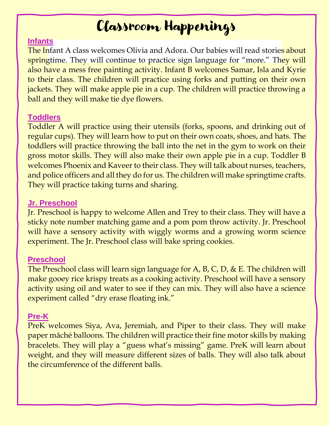## Classroom Happenings

#### **Infants**

 also have a mess free painting activity. Infant B welcomes Samar, Isla and Kyrie The Infant A class welcomes Olivia and Adora. Our babies will read storie<mark>s about</mark> springtime. They will continue to practice sign language for "more." They will to their class. The children will practice using forks and putting on their own jackets. They will make apple pie in a cup. The children will practice throwing a ball and they will make tie dye flowers.

#### **Toddlers**

Toddler A will practice using their utensils (forks, spoons, and drinking out of regular cups). They will learn how to put on their own coats, shoes, and hats. The toddlers will practice throwing the ball into the net in the gym to work on their gross motor skills. They will also make their own apple pie in a cup. Toddler B welcomes Phoenix and Kaveer to their class. They will talk about nurses, teachers, and police officers and all they do for us. The children will make springtime crafts. They will practice taking turns and sharing.

#### **Jr. Preschool**

Jr. Preschool is happy to welcome Allen and Trey to their class. They will have a sticky note number matching game and a pom pom throw activity. Jr. Preschool will have a sensory activity with wiggly worms and a growing worm science experiment. The Jr. Preschool class will bake spring cookies.

#### **Preschool**

The Preschool class will learn sign language for A, B, C, D, & E. The children will make gooey rice krispy treats as a cooking activity. Preschool will have a sensory activity using oil and water to see if they can mix. They will also have a science experiment called "dry erase floating ink."

#### **Pre-K**

PreK welcomes Siya, Ava, Jeremiah, and Piper to their class. They will make paper mâché balloons. The children will practice their fine motor skills by making bracelets. They will play a "guess what's missing" game. PreK will learn about weight, and they will measure different sizes of balls. They will also talk about the circumference of the different balls.